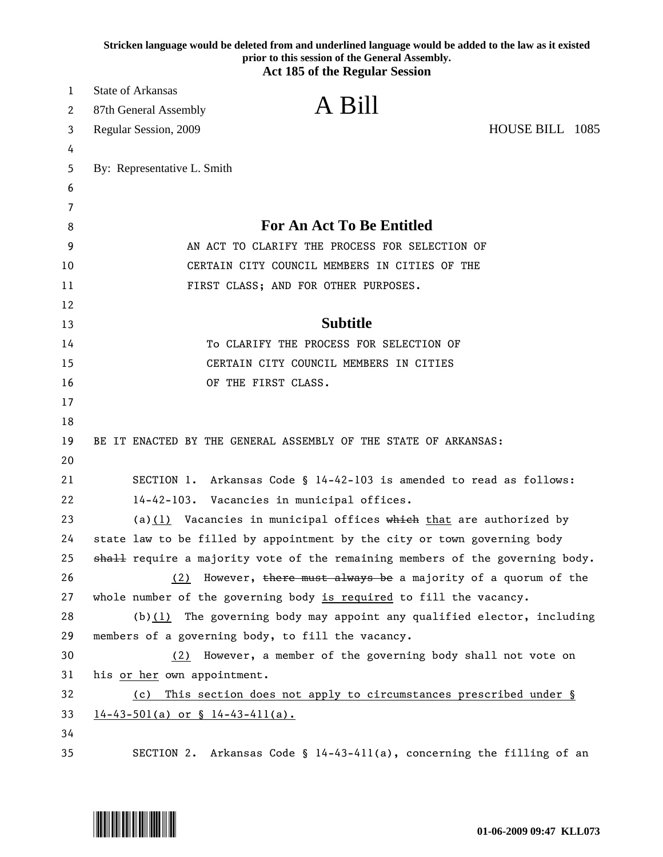|    | Stricken language would be deleted from and underlined language would be added to the law as it existed<br>prior to this session of the General Assembly.<br><b>Act 185 of the Regular Session</b> |  |
|----|----------------------------------------------------------------------------------------------------------------------------------------------------------------------------------------------------|--|
| 1  | <b>State of Arkansas</b>                                                                                                                                                                           |  |
| 2  | A Bill<br>87th General Assembly                                                                                                                                                                    |  |
| 3  | HOUSE BILL 1085<br>Regular Session, 2009                                                                                                                                                           |  |
| 4  |                                                                                                                                                                                                    |  |
| 5  | By: Representative L. Smith                                                                                                                                                                        |  |
| 6  |                                                                                                                                                                                                    |  |
| 7  |                                                                                                                                                                                                    |  |
| 8  | <b>For An Act To Be Entitled</b>                                                                                                                                                                   |  |
| 9  | AN ACT TO CLARIFY THE PROCESS FOR SELECTION OF                                                                                                                                                     |  |
| 10 | CERTAIN CITY COUNCIL MEMBERS IN CITIES OF THE                                                                                                                                                      |  |
| 11 | FIRST CLASS; AND FOR OTHER PURPOSES.                                                                                                                                                               |  |
| 12 |                                                                                                                                                                                                    |  |
| 13 | <b>Subtitle</b>                                                                                                                                                                                    |  |
| 14 | To CLARIFY THE PROCESS FOR SELECTION OF                                                                                                                                                            |  |
| 15 | CERTAIN CITY COUNCIL MEMBERS IN CITIES                                                                                                                                                             |  |
| 16 | OF THE FIRST CLASS.                                                                                                                                                                                |  |
| 17 |                                                                                                                                                                                                    |  |
| 18 |                                                                                                                                                                                                    |  |
| 19 | BE IT ENACTED BY THE GENERAL ASSEMBLY OF THE STATE OF ARKANSAS:                                                                                                                                    |  |
| 20 |                                                                                                                                                                                                    |  |
| 21 | Arkansas Code § 14-42-103 is amended to read as follows:<br>SECTION 1.                                                                                                                             |  |
| 22 | $14 - 42 - 103$ .<br>Vacancies in municipal offices.                                                                                                                                               |  |
| 23 | (a)(1) Vacancies in municipal offices $\frac{1}{2}$ which that are authorized by                                                                                                                   |  |
| 24 | state law to be filled by appointment by the city or town governing body                                                                                                                           |  |
| 25 | shall require a majority vote of the remaining members of the governing body.                                                                                                                      |  |
| 26 | (2) However, there must always be a majority of a quorum of the                                                                                                                                    |  |
| 27 | whole number of the governing body is required to fill the vacancy.                                                                                                                                |  |
| 28 | $(b)(1)$ The governing body may appoint any qualified elector, including                                                                                                                           |  |
| 29 | members of a governing body, to fill the vacancy.                                                                                                                                                  |  |
| 30 | However, a member of the governing body shall not vote on<br>(2)                                                                                                                                   |  |
| 31 | his or her own appointment.                                                                                                                                                                        |  |
| 32 | This section does not apply to circumstances prescribed under §<br>(c)                                                                                                                             |  |
| 33 | $14-43-501(a)$ or § $14-43-411(a)$ .                                                                                                                                                               |  |
| 34 |                                                                                                                                                                                                    |  |
| 35 | Arkansas Code § 14-43-411(a), concerning the filling of an<br>SECTION 2.                                                                                                                           |  |

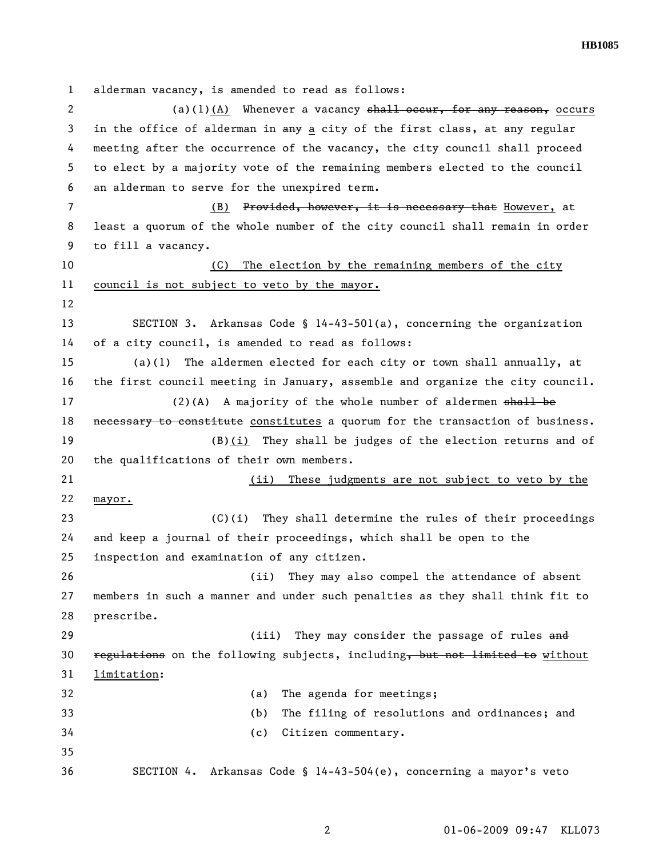1 alderman vacancy, is amended to read as follows: 2 (a)(1)(A) Whenever a vacancy shall occur, for any reason, occurs 3 in the office of alderman in any a city of the first class, at any regular 4 meeting after the occurrence of the vacancy, the city council shall proceed 5 to elect by a majority vote of the remaining members elected to the council 6 an alderman to serve for the unexpired term. 7 (B) Provided, however, it is necessary that However, at 8 least a quorum of the whole number of the city council shall remain in order 9 to fill a vacancy. 10 (C) The election by the remaining members of the city 11 council is not subject to veto by the mayor. 12 13 SECTION 3. Arkansas Code § 14-43-501(a), concerning the organization 14 of a city council, is amended to read as follows: 15 (a)(1) The aldermen elected for each city or town shall annually, at 16 the first council meeting in January, assemble and organize the city council. 17 (2)(A) A majority of the whole number of aldermen shall be 18 necessary to constitute constitutes a quorum for the transaction of business. 19 (B)(i) They shall be judges of the election returns and of 20 the qualifications of their own members. 21 (ii) These judgments are not subject to veto by the 22 mayor. 23 (C)(i) They shall determine the rules of their proceedings 24 and keep a journal of their proceedings, which shall be open to the 25 inspection and examination of any citizen. 26 (ii) They may also compel the attendance of absent 27 members in such a manner and under such penalties as they shall think fit to 28 prescribe. 29 (iii) They may consider the passage of rules and 30 regulations on the following subjects, including, but not limited to without 31 limitation: 32 (a) The agenda for meetings; 33 (b) The filing of resolutions and ordinances; and 34 (c) Citizen commentary. 35 36 SECTION 4. Arkansas Code § 14-43-504(e), concerning a mayor's veto